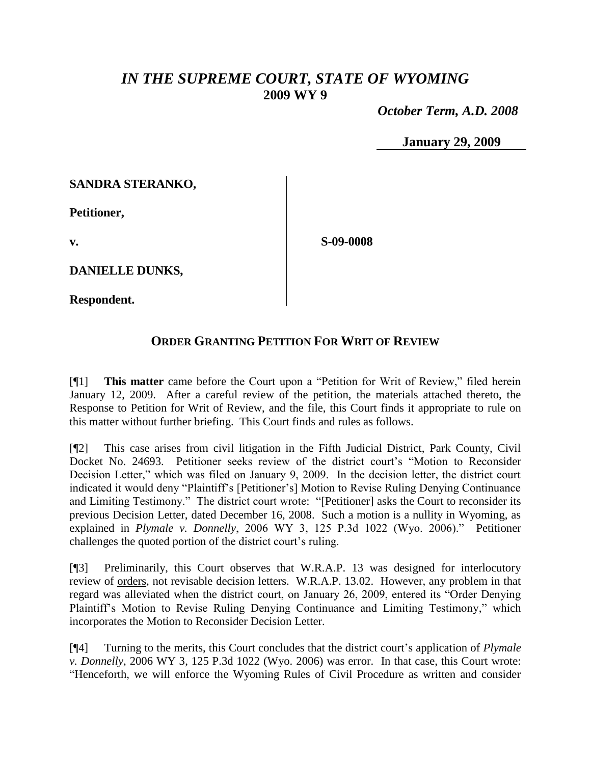## *IN THE SUPREME COURT, STATE OF WYOMING* **2009 WY 9**

 *October Term, A.D. 2008*

**January 29, 2009**

## **SANDRA STERANKO,**

**Petitioner,**

**v.**

**S-09-0008**

**DANIELLE DUNKS,**

**Respondent.**

## **ORDER GRANTING PETITION FOR WRIT OF REVIEW**

[¶1] **This matter** came before the Court upon a "Petition for Writ of Review," filed herein January 12, 2009. After a careful review of the petition, the materials attached thereto, the Response to Petition for Writ of Review, and the file, this Court finds it appropriate to rule on this matter without further briefing. This Court finds and rules as follows.

[¶2] This case arises from civil litigation in the Fifth Judicial District, Park County, Civil Docket No. 24693. Petitioner seeks review of the district court's "Motion to Reconsider Decision Letter," which was filed on January 9, 2009. In the decision letter, the district court indicated it would deny "Plaintiff's [Petitioner's] Motion to Revise Ruling Denying Continuance and Limiting Testimony." The district court wrote: "[Petitioner] asks the Court to reconsider its previous Decision Letter, dated December 16, 2008. Such a motion is a nullity in Wyoming, as explained in *Plymale v. Donnelly*, 2006 WY 3, 125 P.3d 1022 (Wyo. 2006)." Petitioner challenges the quoted portion of the district court's ruling.

[¶3] Preliminarily, this Court observes that W.R.A.P. 13 was designed for interlocutory review of orders, not revisable decision letters. W.R.A.P. 13.02. However, any problem in that regard was alleviated when the district court, on January 26, 2009, entered its "Order Denying Plaintiff's Motion to Revise Ruling Denying Continuance and Limiting Testimony," which incorporates the Motion to Reconsider Decision Letter.

[¶4] Turning to the merits, this Court concludes that the district court's application of *Plymale v. Donnelly*, 2006 WY 3, 125 P.3d 1022 (Wyo. 2006) was error. In that case, this Court wrote: "Henceforth, we will enforce the Wyoming Rules of Civil Procedure as written and consider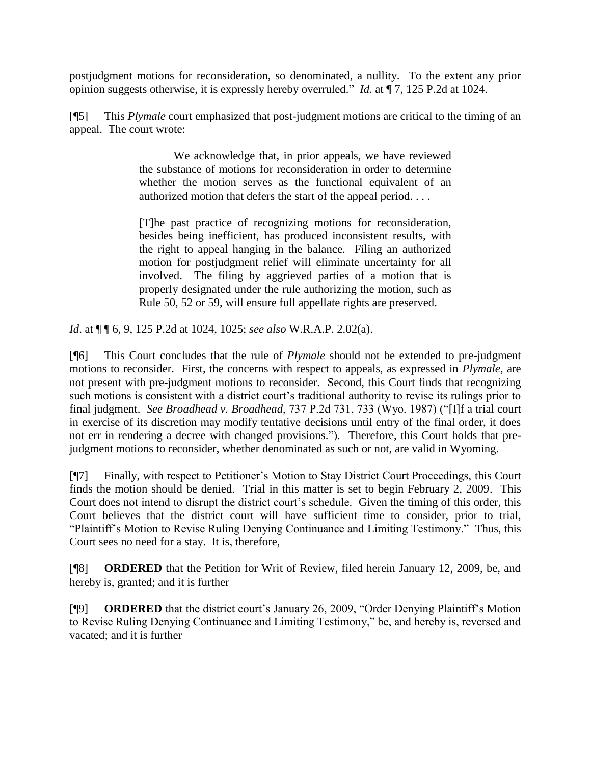postjudgment motions for reconsideration, so denominated, a nullity. To the extent any prior opinion suggests otherwise, it is expressly hereby overruled." *Id*. at ¶ 7, 125 P.2d at 1024.

[¶5] This *Plymale* court emphasized that post-judgment motions are critical to the timing of an appeal. The court wrote:

> We acknowledge that, in prior appeals, we have reviewed the substance of motions for reconsideration in order to determine whether the motion serves as the functional equivalent of an authorized motion that defers the start of the appeal period. . . .

> [T]he past practice of recognizing motions for reconsideration, besides being inefficient, has produced inconsistent results, with the right to appeal hanging in the balance. Filing an authorized motion for postjudgment relief will eliminate uncertainty for all involved. The filing by aggrieved parties of a motion that is properly designated under the rule authorizing the motion, such as Rule 50, 52 or 59, will ensure full appellate rights are preserved.

*Id*. at ¶ ¶ 6, 9, 125 P.2d at 1024, 1025; *see also* W.R.A.P. 2.02(a).

[¶6] This Court concludes that the rule of *Plymale* should not be extended to pre-judgment motions to reconsider. First, the concerns with respect to appeals, as expressed in *Plymale*, are not present with pre-judgment motions to reconsider. Second, this Court finds that recognizing such motions is consistent with a district court's traditional authority to revise its rulings prior to final judgment. *See Broadhead v. Broadhead*, 737 P.2d 731, 733 (Wyo. 1987) ("[I]f a trial court in exercise of its discretion may modify tentative decisions until entry of the final order, it does not err in rendering a decree with changed provisions."). Therefore, this Court holds that prejudgment motions to reconsider, whether denominated as such or not, are valid in Wyoming.

[¶7] Finally, with respect to Petitioner's Motion to Stay District Court Proceedings, this Court finds the motion should be denied. Trial in this matter is set to begin February 2, 2009. This Court does not intend to disrupt the district court's schedule. Given the timing of this order, this Court believes that the district court will have sufficient time to consider, prior to trial, "Plaintiff's Motion to Revise Ruling Denying Continuance and Limiting Testimony." Thus, this Court sees no need for a stay. It is, therefore,

[¶8] **ORDERED** that the Petition for Writ of Review, filed herein January 12, 2009, be, and hereby is, granted; and it is further

[¶9] **ORDERED** that the district court's January 26, 2009, "Order Denying Plaintiff's Motion to Revise Ruling Denying Continuance and Limiting Testimony," be, and hereby is, reversed and vacated; and it is further